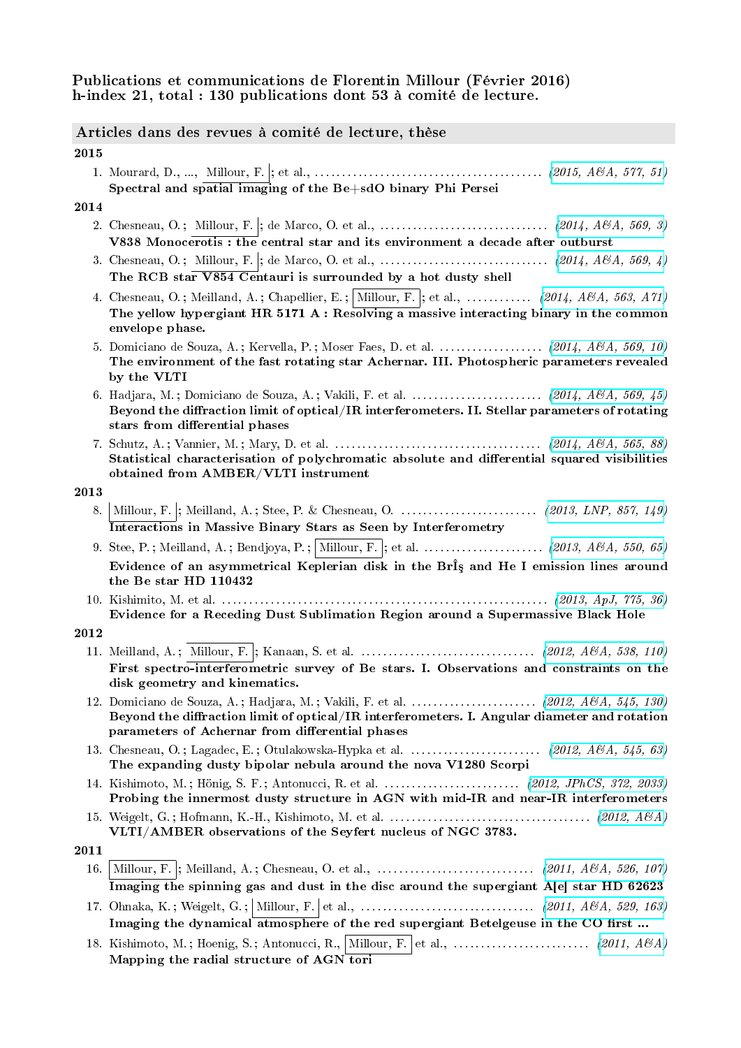# Publications et communications de Florentin Millour (Février 2016) h-index 21, total : 130 publications dont 53 à comité de lecture.

# Articles dans des revues à comité de lecture, thèse

2015

1. Mourard, D., ..., Millour, F. ; et al., . . . . . . . . . . . . . . . . . . . . . . . . . . . . . . . . . . . . . . . . . . [\(2015, A&A, 577, 51\)](http://adslabs.org/adsabs/abs/2015A%26A...577A..51M/) Spectral and spatial imaging of the Be+sdO binary Phi Persei

### 2014

- 2. Chesneau, O. ; Millour, F. ; de Marco, O. et al., . . . . . . . . . . . . . . . . . . . . . . . . . . . . . . . [\(2014, A&A, 569, 3\)](http://adslabs.org/adsabs/abs/2014A%26A...569L...3C/) V838 Monocerotis : the central star and its environment a decade after outburst
- 3. Chesneau, O. ; Millour, F. ; de Marco, O. et al., . . . . . . . . . . . . . . . . . . . . . . . . . . . . . . . [\(2014, A&A, 569, 4\)](http://adslabs.org/adsabs/abs/2014A%26A...569L...4C/) The RCB star V854 Centauri is surrounded by a hot dusty shell
- 4. Chesneau, O.; Meilland, A.; Chapellier, E.; Millour, F.; et al., ............. [\(2014, A&A, 563, A71\)](http://adslabs.org/adsabs/abs/2014A%26A...563A..71C/) The yellow hypergiant HR 5171 A : Resolving a massive interacting binary in the common envelope phase.
- 5. Domiciano de Souza, A.; Kervella, P.; Moser Faes, D. et al. . . . . . . . . . . . . . . . . (2014,  $A\mathcal{B}A$ , 569, 10) The environment of the fast rotating star Achernar. III. Photospheric parameters revealed by the VLTI
- 6. Hadjara, M. ; Domiciano de Souza, A. ; Vakili, F. et al. . . . . . . . . . . . . . . . . . . . . . . . . [\(2014, A&A, 569, 45\)](http://adslabs.org/adsabs/abs/2014A%26A...569A..45H/) Beyond the diffraction limit of optical/IR interferometers. II. Stellar parameters of rotating stars from differential phases
- 7. Schutz, A. ; Vannier, M. ; Mary, D. et al. . . . . . . . . . . . . . . . . . . . . . . . . . . . . . . . . . . . . . . [\(2014, A&A, 565, 88\)](http://adslabs.org/adsabs/abs/2014A%26A...565A..88S/) Statistical characterisation of polychromatic absolute and differential squared visibilities obtained from AMBER/VLTI instrument

#### 2013

- 8. Millour, F. ; Meilland, A. ; Stee, P. & Chesneau, O. . . . . . . . . . . . . . . . . . . . . . . . . . [\(2013, LNP, 857, 149\)](http://adslabs.org/adsabs/abs/2013LNP...857..149M/) Interactions in Massive Binary Stars as Seen by Interferometry
- 9. Stee, P. ; Meilland, A. ; Bendjoya, P. ; Millour, F. ; et al. . . . . . . . . . . . . . . . . . . . . . . [\(2013, A&A, 550, 65\)](http://adslabs.org/adsabs/abs/2013A%26A...550A..65S/) Evidence of an asymmetrical Keplerian disk in the BrÎs and He I emission lines around the Be star HD 110432
- 10. Kishimito, M. et al. . . . . . . . . . . . . . . . . . . . . . . . . . . . . . . . . . . . . . . . . . . . . . . . . . . . . . . . . . . . . [\(2013, ApJ, 775, 36\)](http://adslabs.org/adsabs/abs/2013ApJ...775L..36K/) Evidence for a Receding Dust Sublimation Region around a Supermassive Black Hole

- 11. Meilland, A. ; Millour, F. ; Kanaan, S. et al. . . . . . . . . . . . . . . . . . . . . . . . . . . . . . . . . [\(2012, A&A, 538, 110\)](http://adsabs.harvard.edu/abs/2011A%26A...526A.107M) First spectro-interferometric survey of Be stars. I. Observations and constraints on the disk geometry and kinematics.
- 12. Domiciano de Souza, A. ; Hadjara, M. ; Vakili, F. et al. . . . . . . . . . . . . . . . . . . . . . . . [\(2012, A&A, 545, 130\)](http://adslabs.org/adsabs/abs/2012A%26A...545A.130D/) Beyond the diffraction limit of optical/IR interferometers. I. Angular diameter and rotation parameters of Achernar from differential phases
- 13. Chesneau, O. ; Lagadec, E. ; Otulakowska-Hypka et al. . . . . . . . . . . . . . . . . . . . . . . . . [\(2012, A&A, 545, 63\)](http://adslabs.org/adsabs/abs/2012A%26A...545A..63C/) The expanding dusty bipolar nebula around the nova V1280 Scorpi
- 14. Kishimoto, M. ; Hönig, S. F. ; Antonucci, R. et al. . . . . . . . . . . . . . . . . . . . . . . . . . [\(2012, JPhCS, 372, 2033\)](http://adslabs.org/adsabs/abs/2012JPhCS.372a2033K/) Probing the innermost dusty structure in AGN with mid-IR and near-IR interferometers
- 15. Weigelt, G. ; Hofmann, K.-H., Kishimoto, M. et al. . . . . . . . . . . . . . . . . . . . . . . . . . . . . . . . . . . . . . [\(2012, A&A\)](http://adsabs.harvard.edu/abs/) VLTI/AMBER observations of the Seyfert nucleus of NGC 3783.
- 2011
	- 16. Millour, F. ; Meilland, A. ; Chesneau, O. et al., . . . . . . . . . . . . . . . . . . . . . . . . . . . . . [\(2011, A&A, 526, 107\)](http://adsabs.harvard.edu/abs/2011A%26A...526A.107M) Imaging the spinning gas and dust in the disc around the supergiant A[e] star HD 62623 17. Ohnaka, K. ; Weigelt, G. ; Millour, F. et al., . . . . . . . . . . . . . . . . . . . . . . . . . . . . . . . . [\(2011, A&A, 529, 163\)](http://adsabs.harvard.edu/abs/2011A%26A...529A.163O)
	- Imaging the dynamical atmosphere of the red supergiant Betelgeuse in the CO first ...
	- 18. Kishimoto, M. ; Hoenig, S. ; Antonucci, R., Millour, F. et al., . . . . . . . . . . . . . . . . . . . . . . . . . [\(2011, A&A\)](http://adsabs.harvard.edu/abs/2011arXiv1110.4290K) Mapping the radial structure of AGN tori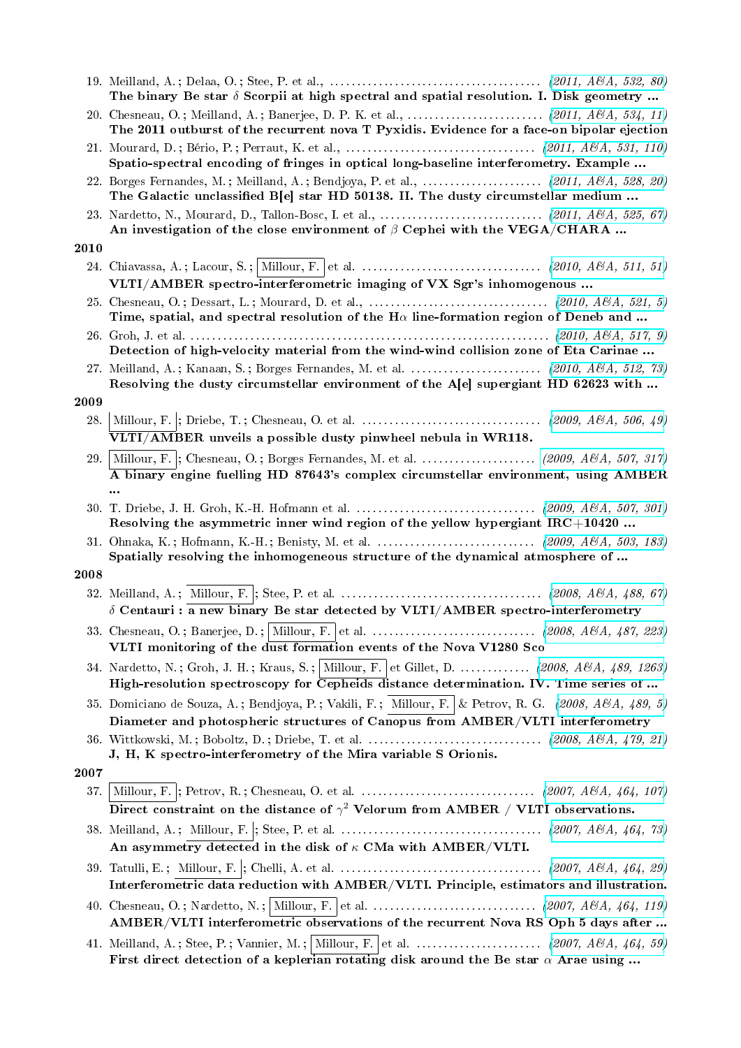|      | The binary Be star $\delta$ Scorpii at high spectral and spatial resolution. I. Disk geometry                                                                                                                    |
|------|------------------------------------------------------------------------------------------------------------------------------------------------------------------------------------------------------------------|
|      | The 2011 outburst of the recurrent nova T Pyxidis. Evidence for a face-on bipolar ejection                                                                                                                       |
|      | Spatio-spectral encoding of fringes in optical long-baseline interferometry. Example                                                                                                                             |
|      | The Galactic unclassified B[e] star HD 50138. II. The dusty circumstellar medium                                                                                                                                 |
|      | An investigation of the close environment of $\beta$ Cephei with the VEGA/CHARA                                                                                                                                  |
| 2010 |                                                                                                                                                                                                                  |
|      | VLTI/AMBER spectro-interferometric imaging of VX Sgr's inhomogenous                                                                                                                                              |
|      | Time, spatial, and spectral resolution of the H $\alpha$ line-formation region of Deneb and                                                                                                                      |
|      | Detection of high-velocity material from the wind-wind collision zone of Eta Carinae                                                                                                                             |
|      | 27. Meilland, A.; Kanaan, S.; Borges Fernandes, M. et al. $\ldots \ldots \ldots \ldots \ldots \ldots$ (2010, A&A, 512, 73)<br>Resolving the dusty circumstellar environment of the A[e] supergiant HD 62623 with |
| 2009 |                                                                                                                                                                                                                  |
| 28.  | VLTI/AMBER unveils a possible dusty pinwheel nebula in WR118.                                                                                                                                                    |
| 29.  | Millour, F.  ; Chesneau, O.; Borges Fernandes, M. et al.  (2009, A&A, 507, 317)<br>$\overline{A}$ binary engine fuelling HD 87643's complex circumstellar environment, using AMBER                               |
|      | $\cdots$<br>Resolving the asymmetric inner wind region of the yellow hypergiant $IRC+10420$                                                                                                                      |
|      | Spatially resolving the inhomogeneous structure of the dynamical atmosphere of                                                                                                                                   |
| 2008 |                                                                                                                                                                                                                  |
|      | $\delta$ Centauri : a new binary Be star detected by VLTI/AMBER spectro-interferometry                                                                                                                           |
|      | VLTI monitoring of the dust formation events of the Nova V1280 Sco                                                                                                                                               |
|      | 34. Nardetto, N.; Groh, J. H.; Kraus, S.; Millour, F. et Gillet, D.  (2008, A&A, 489, 1263)<br>High-resolution spectroscopy for Cepheids distance determination. IV. Time series of                              |
|      | 35. Domiciano de Souza, A.; Bendjoya, P.; Vakili, F.; Millour, F. & Petrov, R. G. (2008, A&A, 489, 5)<br>Diameter and photospheric structures of Canopus from AMBER/VLTI interferometry                          |
|      | J, H, K spectro-interferometry of the Mira variable S Orionis.                                                                                                                                                   |
| 2007 |                                                                                                                                                                                                                  |
| 37.  | Direct constraint on the distance of $\gamma^2$ Velorum from AMBER / VLTI observations.                                                                                                                          |
|      | An asymmetry detected in the disk of $\kappa$ CMa with AMBER/VLTI.                                                                                                                                               |
|      | Interferometric data reduction with AMBER/VLTI. Principle, estimators and illustration.                                                                                                                          |
|      | AMBER/VLTI interferometric observations of the recurrent Nova RS Oph 5 days after                                                                                                                                |
|      | First direct detection of a keplerian rotating disk around the Be star $\alpha$ Arae using                                                                                                                       |
|      |                                                                                                                                                                                                                  |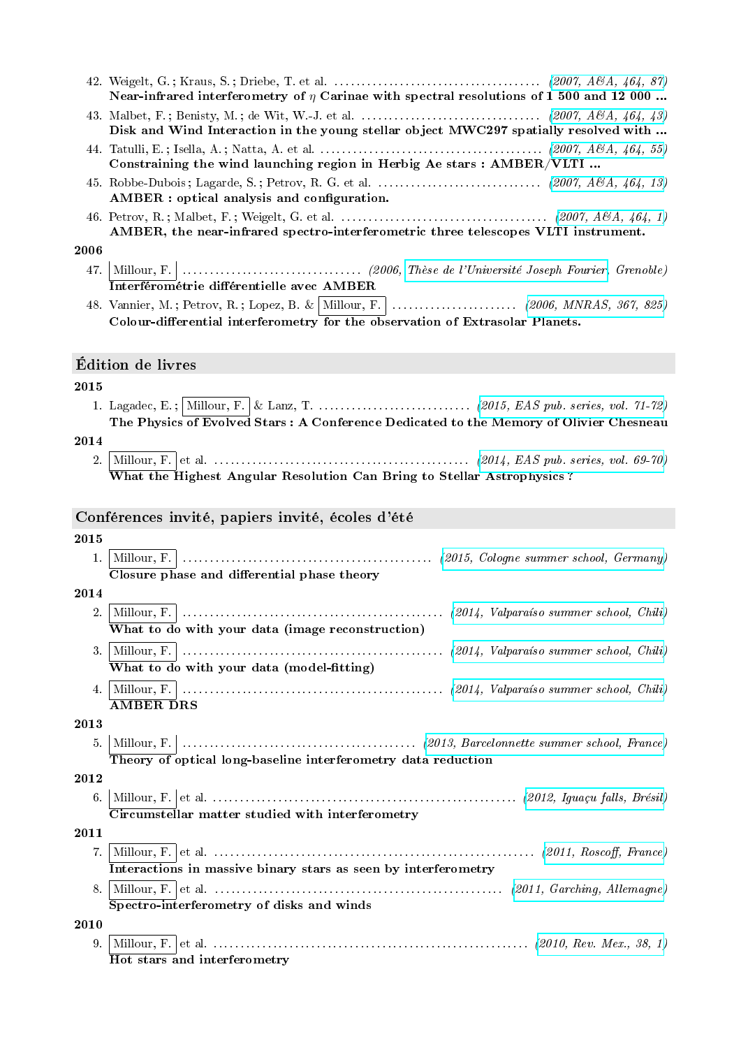|      | Near-infrared interferometry of $\eta$ Carinae with spectral resolutions of 1 500 and 12 000 |
|------|----------------------------------------------------------------------------------------------|
|      | Disk and Wind Interaction in the young stellar object MWC297 spatially resolved with         |
|      | Constraining the wind launching region in Herbig Ae stars : AMBER/VLTI                       |
|      | AMBER : optical analysis and configuration.                                                  |
|      | AMBER, the near-infrared spectro-interferometric three telescopes VLTI instrument.           |
| 2006 |                                                                                              |
|      | Interférométrie différentielle avec AMBER                                                    |

48. Vannier, M. ; Petrov, R. ; Lopez, B. & Millour, F. . . . . . . . . . . . . . . . . . . . . . . . [\(2006, MNRAS, 367, 825\)](http://adsabs.harvard.edu/abs/2006MNRAS.367..825V) Colour-differential interferometry for the observation of Extrasolar Planets.

# Édition de livres

### 2015

1. Lagadec, E. ; Millour, F. & Lanz, T. . . . . . . . . . . . . . . . . . . . . . . . . . . . . [\(2015, EAS pub. series, vol. 71-72\)](http://www.eas-journal.org/articles/eas/abs/2015/01/contents/contents.html) The Physics of Evolved Stars : A Conference Dedicated to the Memory of Olivier Chesneau

# 2014

2. Millour, F. et al. . . . . . . . . . . . . . . . . . . . . . . . . . . . . . . . . . . . . . . . . . . . . . . . [\(2014, EAS pub. series, vol. 69-70\)](http://www.eas-journal.org/articles/eas/abs/2014/04/contents/contents.html) What the Highest Angular Resolution Can Bring to Stellar Astrophysics ?

### Conférences invité, papiers invité, écoles d'été

#### 2015

1. Millour, F. . . . . . . . . . . . . . . . . . . . . . . . . . . . . . . . . . . . . . . . . . . . . . . [\(2015, Cologne summer school, Germany\)](http://hera.ph1.uni-koeln.de/~labadie/VLTI_School/Home.html) Closure phase and differential phase theory

### 2014

- 2. Millour, F. . . . . . . . . . . . . . . . . . . . . . . . . . . . . . . . . . . . . . . . . . . . . . . . . [\(2014, Valparaíso summer school, Chili\)](http://ifa.uv.cl/dfa/index.php?option=com_content&view=article&id=245&Itemid=207&lang=en) What to do with your data (image reconstruction)
- 3. Millour, F. . . . . . . . . . . . . . . . . . . . . . . . . . . . . . . . . . . . . . . . . . . . . . . . . [\(2014, Valparaíso summer school, Chili\)](http://ifa.uv.cl/dfa/index.php?option=com_content&view=article&id=245&Itemid=207&lang=en) What to do with your data (model-fitting)
- 4. Millour, F. . . . . . . . . . . . . . . . . . . . . . . . . . . . . . . . . . . . . . . . . . . . . . . . . [\(2014, Valparaíso summer school, Chili\)](http://ifa.uv.cl/dfa/index.php?option=com_content&view=article&id=245&Itemid=207&lang=en) AMBER DRS

# 2013

5. Millour, F. . . . . . . . . . . . . . . . . . . . . . . . . . . . . . . . . . . . . . . . . . . . [\(2013, Barcelonnette summer school, France\)](http://vltischool.sciencesconf.org/) Theory of optical long-baseline interferometry data reduction

2012

6. Millour, F. et al. . . . . . . . . . . . . . . . . . . . . . . . . . . . . . . . . . . . . . . . . . . . . . . . . . . . . . . . . [\(2012, Iguaçu falls, Brésil\)](http://www.eso.org/sci/meetings/2012/csdyn.html) Circumstellar matter studied with interferometry

### 2011

- 7. Millour, F. et al. . . . . . . . . . . . . . . . . . . . . . . . . . . . . . . . . . . . . . . . . . . . . . . . . . . . . . . . . . . . [\(2011, Rosco, France\)](http://lesia.obspm.fr/MagMas/cnrs_environment2011) Interactions in massive binary stars as seen by interferometry
- 8. Millour, F. et al. . . . . . . . . . . . . . . . . . . . . . . . . . . . . . . . . . . . . . . . . . . . . . . . . . . . . . [\(2011, Garching, Allemagne\)](http://www.eso.org/sci/meetings/2011/VLTI_2011.html) Spectro-interferometry of disks and winds

# 2010

9. Millour, F. et al. . . . . . . . . . . . . . . . . . . . . . . . . . . . . . . . . . . . . . . . . . . . . . . . . . . . . . . . . . . [\(2010, Rev. Mex., 38, 1\)](http://adsabs.harvard.edu/abs/2010RMxAC..38....1M) Hot stars and interferometry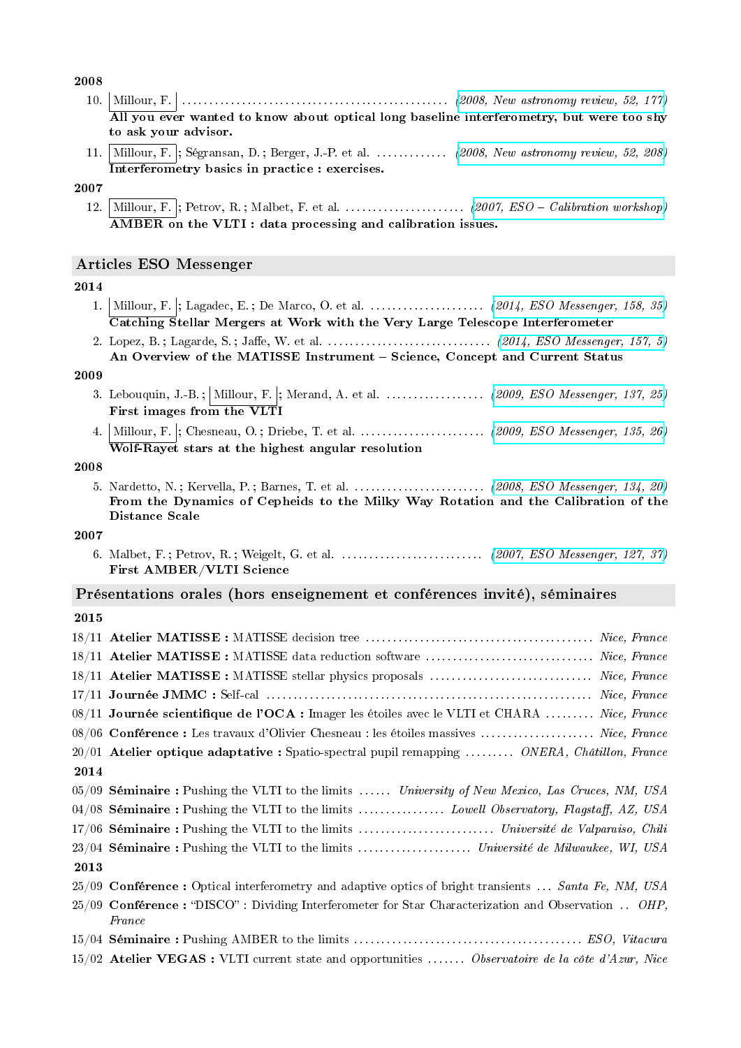2008

- 10. Millour, F. . . . . . . . . . . . . . . . . . . . . . . . . . . . . . . . . . . . . . . . . . . . . . . . . . [\(2008, New astronomy review, 52, 177\)](http://adsabs.harvard.edu/abs/2008NewAR..52..177M) All you ever wanted to know about optical long baseline interferometry, but were too shy to ask your advisor.
- 11. Millour, F. ; Ségransan, D. ; Berger, J.-P. et al. . . . . . . . . . . . . . [\(2008, New astronomy review, 52, 208\)](http://adsabs.harvard.edu/abs/2008NewAR..52..208M) Interferometry basics in practice : exercises.

# 2007

12. Millour, F. ; Petrov, R. ; Malbet, F. et al. . . . . . . . . . . . . . . . . . . . . . . [\(2007, ESO Calibration workshop\)](http://arxiv.org/abs/0705.1636) AMBER on the VLTI : data processing and calibration issues.

# Articles ESO Messenger

# 2014

- 1. Millour, F. ; Lagadec, E.; De Marco, O. et al. . . . . . . . . . . . . . . . . . [\(2014, ESO Messenger, 158, 35\)](http://adslabs.org/adsabs/abs/2014Msngr.158...35M/) Catching Stellar Mergers at Work with the Very Large Telescope Interferometer
- 2. Lopez, B. ; Lagarde, S. ; Jae, W. et al. . . . . . . . . . . . . . . . . . . . . . . . . . . . . . . [\(2014, ESO Messenger, 157, 5\)](http://adslabs.org/adsabs/abs/2014Msngr.157....5L/) An Overview of the MATISSE Instrument - Science, Concept and Current Status

#### 2009

- 3. Lebouquin, J.-B.;  $\boxed{\text{Milour}, F}$ ; Merand, A. et al. . . . . . . . . . . . . . . . [\(2009, ESO Messenger, 137, 25\)](http://adsabs.harvard.edu/abs/2009Msngr.137...25L) First images from the VLTI
- 4. Millour, F. ; Chesneau, O. ; Driebe, T. et al. . . . . . . . . . . . . . . . . . . . . . . . [\(2009, ESO Messenger, 135, 26\)](http://adsabs.harvard.edu/abs/2009Msngr.135...26M) Wolf-Rayet stars at the highest angular resolution

#### 2008

5. Nardetto, N. ; Kervella, P. ; Barnes, T. et al. . . . . . . . . . . . . . . . . . . . . . . . . [\(2008, ESO Messenger, 134, 20\)](http://adsabs.harvard.edu/abs/2008Msngr.134...20N) From the Dynamics of Cepheids to the Milky Way Rotation and the Calibration of the Distance Scale

### 2007

6. Malbet, F. ; Petrov, R. ; Weigelt, G. et al. . . . . . . . . . . . . . . . . . . . . . . . . . . [\(2007, ESO Messenger, 127, 37\)](http://adsabs.harvard.edu/abs/2007Msngr.127...37M) First AMBER/VLTI Science

# Présentations orales (hors enseignement et conférences invité), séminaires

|      | 18/11 Atelier MATISSE : MATISSE stellar physics proposals  Nice, France                                        |
|------|----------------------------------------------------------------------------------------------------------------|
|      |                                                                                                                |
|      | 08/11 Journée scientifique de l'OCA : Imager les étoiles avec le VLTI et CHARA  Nice, France                   |
|      | 08/06 Conférence : Les travaux d'Olivier Chesneau : les étoiles massives  Nice, France                         |
|      | $20/01$ Atelier optique adaptative : Spatio-spectral pupil remapping  ONERA, Châtillon, France                 |
| 2014 |                                                                                                                |
|      | $05/09$ Séminaire: Pushing the VLTI to the limits  University of New Mexico, Las Cruces, NM, USA               |
|      | 04/08 Séminaire : Pushing the VLTI to the limits  Lowell Observatory, Flagstaff, AZ, USA                       |
|      |                                                                                                                |
|      |                                                                                                                |
| 2013 |                                                                                                                |
|      | $25/09$ Conférence: Optical interferometry and adaptive optics of bright transients  Santa Fe, NM, USA         |
|      | $25/09$ Conférence: "DISCO": Dividing Interferometer for Star Characterization and Observation  OHP,<br>France |
|      |                                                                                                                |
|      | $15/02$ Atelier VEGAS: VLTI current state and opportunities  Observatoire de la côte d'Azur, Nice              |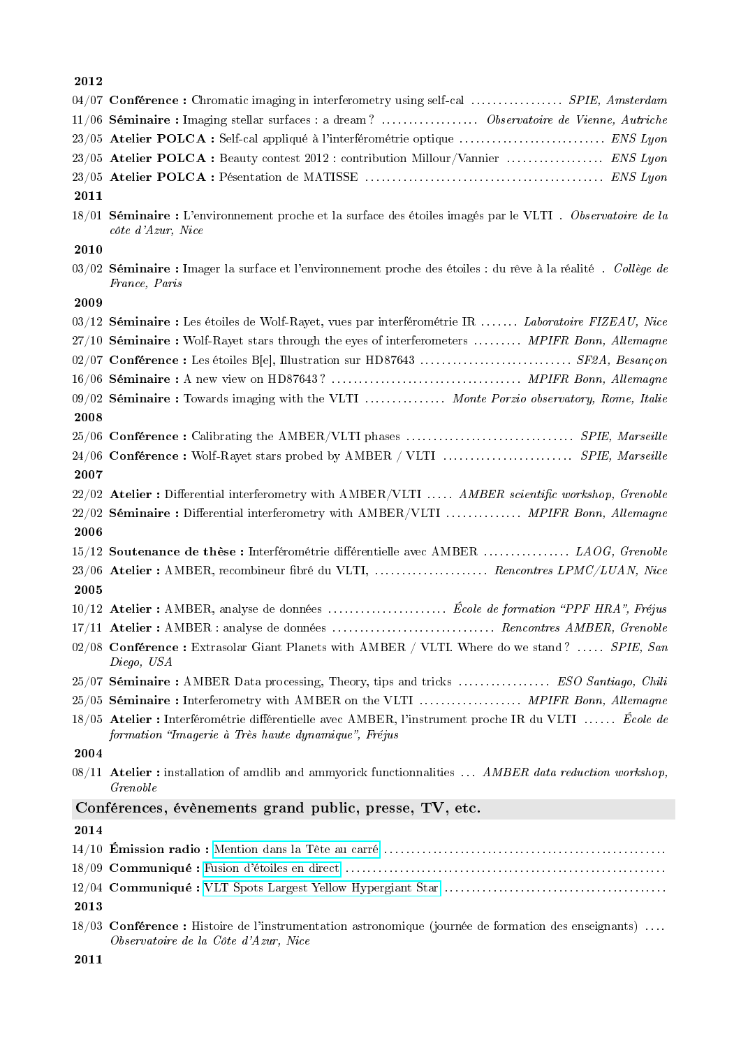|      | $04/07$ Conférence: Chromatic imaging in interferometry using self-cal  SPIE, Amsterdam                                                                    |
|------|------------------------------------------------------------------------------------------------------------------------------------------------------------|
|      | 11/06 Séminaire : Imaging stellar surfaces : a dream?  Observatoire de Vienne, Autriche                                                                    |
|      | 23/05 Atelier POLCA : Self-cal appliqué à l'interférométrie optique  ENS Lyon                                                                              |
|      | 23/05 Atelier POLCA : Beauty contest 2012 : contribution Millour/Vannier  ENS Lyon                                                                         |
|      |                                                                                                                                                            |
| 2011 |                                                                                                                                                            |
|      | 18/01 Séminaire : L'environnement proche et la surface des étoiles imagés par le VLTI. Observatoire de la<br>côte d'Azur, Nice                             |
| 2010 |                                                                                                                                                            |
|      | $03/02$ Séminaire : Imager la surface et l'environnement proche des étoiles : du rêve à la réalité. Collège de<br>France, Paris                            |
| 2009 |                                                                                                                                                            |
|      | $03/12$ Séminaire : Les étoiles de Wolf-Rayet, vues par interférométrie IR  Laboratoire FIZEAU, Nice                                                       |
|      | 27/10 Séminaire : Wolf-Rayet stars through the eyes of interferometers  MPIFR Bonn, Allemagne                                                              |
|      | 02/07 Conférence : Les étoiles B[e], Illustration sur HD87643  SF2A, Besançon                                                                              |
|      |                                                                                                                                                            |
|      | 09/02 Séminaire: Towards imaging with the VLTI  Monte Porzio observatory, Rome, Italie                                                                     |
| 2008 |                                                                                                                                                            |
|      |                                                                                                                                                            |
|      | 24/06 Conférence: Wolf-Rayet stars probed by AMBER / VLTI  SPIE, Marseille                                                                                 |
| 2007 |                                                                                                                                                            |
|      | 22/02 Atelier : Differential interferometry with AMBER/VLTI  AMBER scientific workshop, Grenoble                                                           |
|      | 22/02 Séminaire : Differential interferometry with AMBER/VLTI  MPIFR Bonn, Allemagne                                                                       |
| 2006 |                                                                                                                                                            |
|      | 15/12 Soutenance de thèse : Interférométrie différentielle avec AMBER  LAOG, Grenoble                                                                      |
|      | 23/06 Atelier : AMBER, recombineur fibré du VLTI,  Rencontres LPMC/LUAN, Nice                                                                              |
| 2005 |                                                                                                                                                            |
|      |                                                                                                                                                            |
|      | 17/11 Atelier : AMBER : analyse de données  Rencontres AMBER, Grenoble                                                                                     |
|      | 02/08 Conférence : Extrasolar Giant Planets with AMBER / VLTI. Where do we stand?  SPIE, San<br>Diego, USA                                                 |
|      | 25/07 Séminaire: AMBER Data processing, Theory, tips and tricks  ESO Santiago, Chili                                                                       |
|      | 25/05 Séminaire: Interferometry with AMBER on the VLTI  MPIFR Bonn, Allemagne                                                                              |
|      | 18/05 Atelier : Interférométrie différentielle avec AMBER, l'instrument proche IR du VLTI  École de<br>formation "Imagerie à Très haute dynamique", Fréjus |
| 2004 |                                                                                                                                                            |
|      | $08/11$ Atelier: installation of amdlib and ammyorick functionnalities  AMBER data reduction workshop,<br>Grenoble                                         |
|      | Conférences, évènements grand public, presse, TV, etc.                                                                                                     |
| 2014 |                                                                                                                                                            |
|      |                                                                                                                                                            |

- 18/09 Communiqué : [Fusion d'étoiles en direct](http://www.insu.cnrs.fr/node/4990) . . . . . . . . . . . . . . . . . . . . . . . . . . . . . . . . . . . . . . . . . . . . . . . . . . . . . . . . . . . 12/04 Communiqué : [VLT Spots Largest Yellow Hypergiant Star](http://www.eso.org/public/news/eso1409/) . . . . . . . . . . . . . . . . . . . . . . . . . . . . . . . . . . . . . . . . . 2013
- 18/03 Conférence : Histoire de l'instrumentation astronomique (journée de formation des enseignants) . . . . Observatoire de la Côte d'Azur, Nice
- 2011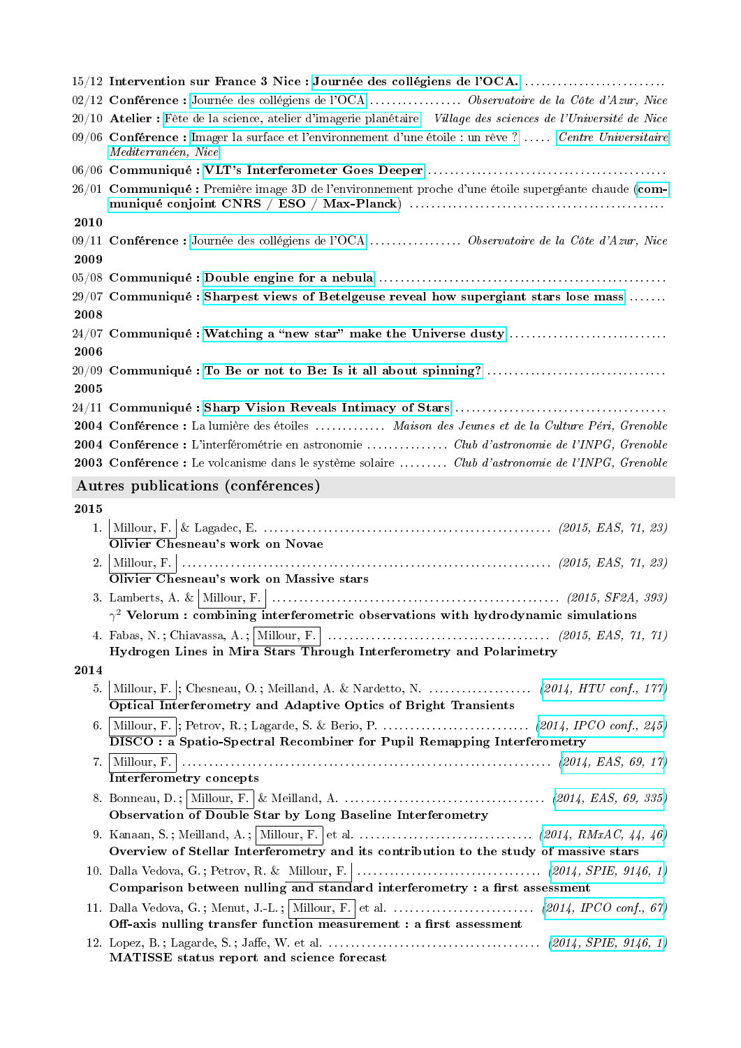|      | 15/12 Intervention sur France 3 Nice : Journée des collégiens de l'OCA.                                                       |
|------|-------------------------------------------------------------------------------------------------------------------------------|
|      |                                                                                                                               |
|      | $20/10$ Atelier : Fête de la science, atelier d'imagerie planétaire Village des sciences de l'Université de Nice              |
|      | 09/06 Conférence : Imager la surface et l'environnement d'une étoile : un rêve ?  Centre Universitaire<br>Mediterranéen, Nice |
|      |                                                                                                                               |
|      | 26/01 Communiqué : Première image 3D de l'environnement proche d'une étoile supergéante chaude (com-                          |
| 2010 |                                                                                                                               |
| 2009 |                                                                                                                               |
|      |                                                                                                                               |
|      | $29/07$ Communiqué : Sharpest views of Betelgeuse reveal how supergiant stars lose mass                                       |
| 2008 |                                                                                                                               |
|      |                                                                                                                               |
| 2006 |                                                                                                                               |
| 2005 |                                                                                                                               |
|      |                                                                                                                               |
|      | 2004 Conférence : La lumière des étoiles  Maison des Jeunes et de la Culture Péri, Grenoble                                   |
|      |                                                                                                                               |
|      | 2003 Conférence : Le volcanisme dans le système solaire  Club d'astronomie de l'INPG, Grenoble                                |
|      | Autres publications (conférences)                                                                                             |
| 2015 |                                                                                                                               |
| 1.   | Olivier Chesneau's work on Novae                                                                                              |
| 2.   |                                                                                                                               |
|      | Olivier Chesneau's work on Massive stars                                                                                      |
|      | $\gamma^2$ Velorum : combining interferometric observations with hydrodynamic simulations                                     |
|      |                                                                                                                               |
|      | Hydrogen Lines in Mira Stars Through Interferometry and Polarimetry                                                           |
| 2014 |                                                                                                                               |
| 5.   | Optical Interferometry and Adaptive Optics of Bright Transients                                                               |
| 6.   |                                                                                                                               |
|      | <b>DISCO</b> : a Spatio-Spectral Recombiner for Pupil Remapping Interferometry                                                |
|      | Interferometry concepts                                                                                                       |
|      | Observation of Double Star by Long Baseline Interferometry                                                                    |
|      |                                                                                                                               |
|      |                                                                                                                               |
|      | Overview of Stellar Interferometry and its contribution to the study of massive stars                                         |
|      |                                                                                                                               |
|      | Comparison between nulling and standard interferometry : a first assessment                                                   |
|      | Off-axis nulling transfer function measurement : a first assessment                                                           |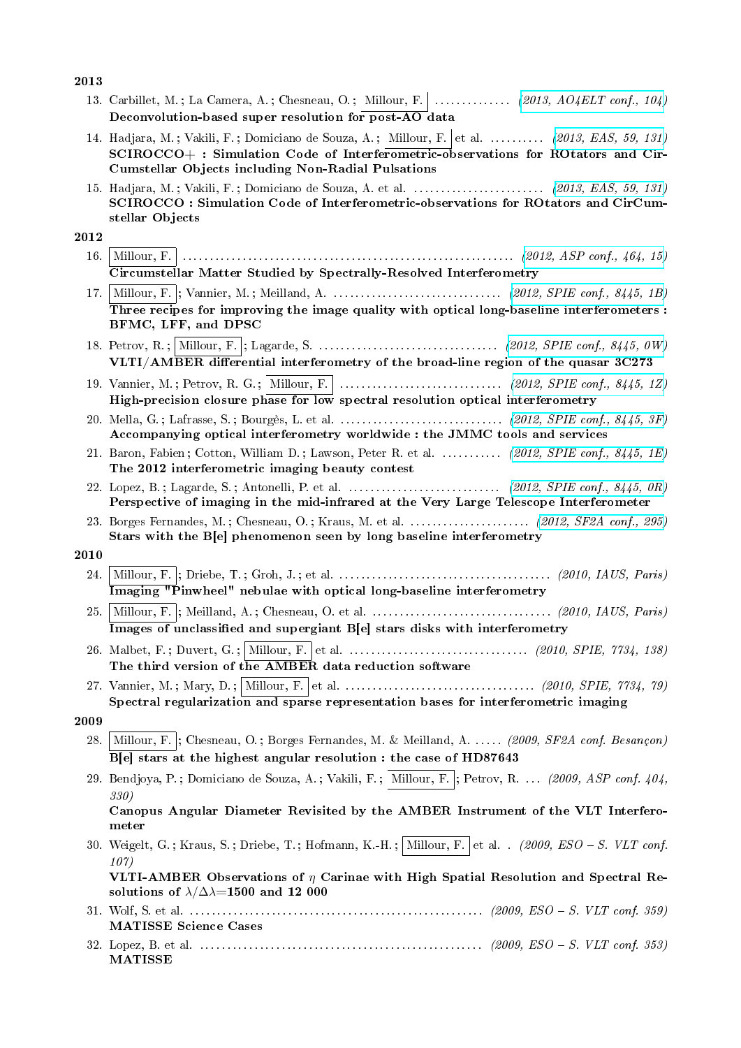# 2013

| 2019 |                                                                                                                                                                                                                                                |
|------|------------------------------------------------------------------------------------------------------------------------------------------------------------------------------------------------------------------------------------------------|
|      | 13. Carbillet, M.; La Camera, A.; Chesneau, O.; Millour, F.    (2013, $AO4ELT$ conf., 104)<br>Deconvolution-based super resolution for post-AO data                                                                                            |
|      | 14. Hadjara, M.; Vakili, F.; Domiciano de Souza, A.; Millour, F. et al.  (2013, EAS, 59, 131)<br>SCIROCCO+: Simulation Code of Interferometric-observations for ROtators and Cir-<br><b>Cumstellar Objects including Non-Radial Pulsations</b> |
|      | SCIROCCO : Simulation Code of Interferometric-observations for ROtators and CirCum-<br>stellar Objects                                                                                                                                         |
| 2012 |                                                                                                                                                                                                                                                |
| 16.  | Circumstellar Matter Studied by Spectrally-Resolved Interferometry                                                                                                                                                                             |
|      |                                                                                                                                                                                                                                                |
|      | Three recipes for improving the image quality with optical long-baseline interferometers :<br>BFMC, LFF, and DPSC                                                                                                                              |
|      | VLTI/AMBER differential interferometry of the broad-line region of the quasar 3C273                                                                                                                                                            |
|      |                                                                                                                                                                                                                                                |
|      | High-precision closure phase for low spectral resolution optical interferometry                                                                                                                                                                |
|      | Accompanying optical interferometry worldwide: the JMMC tools and services                                                                                                                                                                     |
|      | 21. Baron, Fabien; Cotton, William D.; Lawson, Peter R. et al.  (2012, SPIE conf., 8445, 1E)<br>The 2012 interferometric imaging beauty contest                                                                                                |
|      | Perspective of imaging in the mid-infrared at the Very Large Telescope Interferometer                                                                                                                                                          |
|      | Stars with the B[e] phenomenon seen by long baseline interferometry                                                                                                                                                                            |
| 2010 |                                                                                                                                                                                                                                                |
| 24.  | Imaging "Pinwheel" nebulae with optical long-baseline interferometry                                                                                                                                                                           |
| 25.  | Images of unclassified and supergiant B[e] stars disks with interferometry                                                                                                                                                                     |
|      | The third version of the AMBER data reduction software                                                                                                                                                                                         |
|      | Spectral regularization and sparse representation bases for interferometric imaging                                                                                                                                                            |
| 2009 |                                                                                                                                                                                                                                                |
| 28.  | Millour, F.  ; Chesneau, O.; Borges Fernandes, M. & Meilland, A.  (2009, SF2A conf. Besançon)<br>B[e] stars at the highest angular resolution : the case of HD87643                                                                            |
|      | 29. Bendjoya, P.; Domiciano de Souza, A.; Vakili, F.; Millour, F.; Petrov, R.  (2009, ASP conf. 404,<br><i>330)</i>                                                                                                                            |
|      | Canopus Angular Diameter Revisited by the AMBER Instrument of the VLT Interfero-<br>meter                                                                                                                                                      |
|      | 30. Weigelt, G.; Kraus, S.; Driebe, T.; Hofmann, K.-H.; Millour, F. et al. (2009, ESO – S. VLT conf.<br>107)                                                                                                                                   |
|      | VLTI-AMBER Observations of $\eta$ Carinae with High Spatial Resolution and Spectral Re-<br>solutions of $\lambda/\Delta\lambda=1500$ and 12 000                                                                                                |
|      | <b>MATISSE Science Cases</b>                                                                                                                                                                                                                   |
|      |                                                                                                                                                                                                                                                |

32. Lopez, B. et al. . . . . . . . . . . . . . . . . . . . . . . . . . . . . . . . . . . . . . . . . . . . . . . . . . . . . (2009, ESO S. VLT conf. 353) MATISSE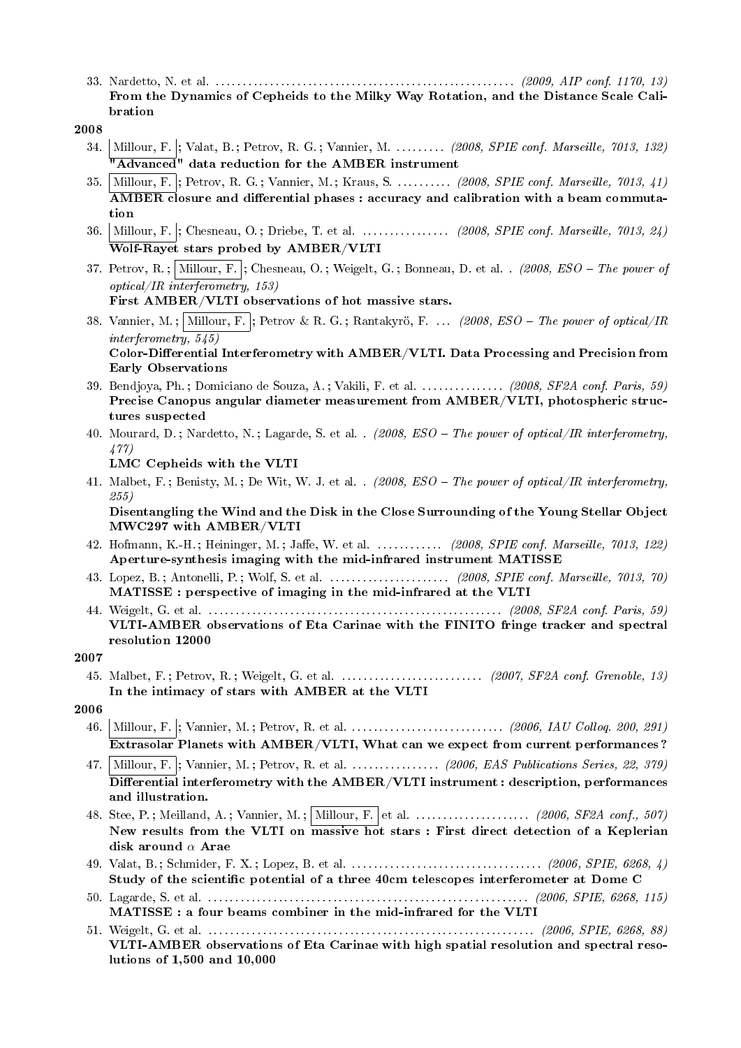33. Nardetto, N. et al. . . . . . . . . . . . . . . . . . . . . . . . . . . . . . . . . . . . . . . . . . . . . . . . . . . . . . . . (2009, AIP conf. 1170, 13) From the Dynamics of Cepheids to the Milky Way Rotation, and the Distance Scale Calibration

- 34. Millour, F. |; Valat, B. ; Petrov, R. G. ; Vannier, M. . . . . . . . . (2008, SPIE conf. Marseille, 7013, 132) "Advanced" data reduction for the AMBER instrument
- 35. Millour, F. |; Petrov, R. G.; Vannier, M.; Kraus, S. . . . . . . . . (2008, SPIE conf. Marseille, 7013, 41)  $\overline{\rm AMBER}$  closure and differential phases : accuracy and calibration with a beam commutation
- 36. Millour, F. ; Chesneau, O.; Driebe, T. et al. . . . . . . . . . . . . . . (2008, SPIE conf. Marseille, 7013, 24) Wolf-Rayet stars probed by AMBER/VLTI
- 37. Petrov, R.; Millour, F. ; Chesneau, O.; Weigelt, G.; Bonneau, D. et al. . (2008,  $ESO$  The power of optical/IR interferometry, 153) First AMBER/VLTI observations of hot massive stars.
- 38. Vannier, M.; Millour, F. ; Petrov & R. G.; Rantakyrö, F. . . . (2008, ESO The power of optical/IR interferometry, 545) Color-Differential Interferometry with  $AMBER/VLTI$ . Data Processing and Precision from Early Observations
- 39. Bendjoya, Ph.; Domiciano de Souza, A.; Vakili, F. et al. . . . . . . . . . . . . (2008, SF2A conf. Paris, 59) Precise Canopus angular diameter measurement from AMBER/VLTI, photospheric structures suspected
- 40. Mourard, D.; Nardetto, N.; Lagarde, S. et al. . (2008,  $ESO$  The power of optical/IR interferometry, 477)

LMC Cepheids with the VLTI

41. Malbet, F.; Benisty, M.; De Wit, W. J. et al. . (2008, ESO - The power of optical/IR interferometry, 255)

Disentangling the Wind and the Disk in the Close Surrounding of the Young Stellar Object MWC297 with AMBER/VLTI

- 42. Hofmann, K.-H.; Heininger, M.; Jaffe, W. et al. . . . . . . . . . . . (2008, SPIE conf. Marseille, 7013, 122) Aperture-synthesis imaging with the mid-infrared instrument MATISSE
- 43. Lopez, B. ; Antonelli, P. ; Wolf, S. et al. . . . . . . . . . . . . . . . . . . . . . . (2008, SPIE conf. Marseille, 7013, 70) MATISSE : perspective of imaging in the mid-infrared at the VLTI
- 44. Weigelt, G. et al. . . . . . . . . . . . . . . . . . . . . . . . . . . . . . . . . . . . . . . . . . . . . . . . . . . . . . . (2008, SF2A conf. Paris, 59) VLTI-AMBER observations of Eta Carinae with the FINITO fringe tracker and spectral resolution 12000

- 45. Malbet, F. ; Petrov, R. ; Weigelt, G. et al. . . . . . . . . . . . . . . . . . . . . . . . . . . (2007, SF2A conf. Grenoble, 13) In the intimacy of stars with AMBER at the VLTI
- 2006
	- 46. Millour, F. ; Vannier, M. ; Petrov, R. et al. . . . . . . . . . . . . . . . . . . . . . . . . . . . . (2006, IAU Colloq. 200, 291) Extrasolar Planets with AMBER/VLTI, What can we expect from current performances ?
	- 47. Millour, F. : Vannier, M. ; Petrov, R. et al. . . . . . . . . . . . . . . . . (2006, EAS Publications Series, 22, 379)  $\overline{\text{Differential}}$  interferometry with the AMBER/VLTI instrument : description, performances and illustration.
	- 48. Stee, P.; Meilland, A.; Vannier, M.; Millour, F. et al. . . . . . . . . . . . . . . . . . (2006, SF2A conf., 507) New results from the VLTI on  $\overline{\text{massive hot}}$  stars : First direct detection of a Keplerian disk around  $\alpha$  Arae
	- 49. Valat, B. ; Schmider, F. X. ; Lopez, B. et al. . . . . . . . . . . . . . . . . . . . . . . . . . . . . . . . . . . . (2006, SPIE, 6268, 4) Study of the scientific potential of a three 40cm telescopes interferometer at Dome C
	- 50. Lagarde, S. et al. . . . . . . . . . . . . . . . . . . . . . . . . . . . . . . . . . . . . . . . . . . . . . . . . . . . . . . . . . . . (2006, SPIE, 6268, 115) MATISSE : a four beams combiner in the mid-infrared for the VLTI
	- 51. Weigelt, G. et al. . . . . . . . . . . . . . . . . . . . . . . . . . . . . . . . . . . . . . . . . . . . . . . . . . . . . . . . . . . . . (2006, SPIE, 6268, 88) VLTI-AMBER observations of Eta Carinae with high spatial resolution and spectral resolutions of 1,500 and 10,000

<sup>2008</sup>